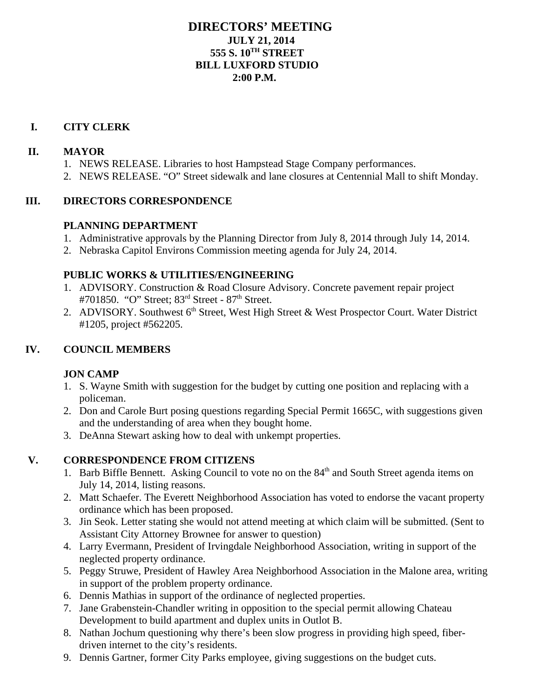# **DIRECTORS' MEETING JULY 21, 2014 555 S. 10TH STREET BILL LUXFORD STUDIO 2:00 P.M.**

#### **I. CITY CLERK**

#### **II. MAYOR**

- 1. NEWS RELEASE. Libraries to host Hampstead Stage Company performances.
- 2. NEWS RELEASE. "O" Street sidewalk and lane closures at Centennial Mall to shift Monday.

#### **III. DIRECTORS CORRESPONDENCE**

#### **PLANNING DEPARTMENT**

- 1. Administrative approvals by the Planning Director from July 8, 2014 through July 14, 2014.
- 2. Nebraska Capitol Environs Commission meeting agenda for July 24, 2014.

#### **PUBLIC WORKS & UTILITIES/ENGINEERING**

- 1. ADVISORY. Construction & Road Closure Advisory. Concrete pavement repair project #701850. "O" Street; 83<sup>rd</sup> Street - 87<sup>th</sup> Street.
- 2. ADVISORY. Southwest  $6<sup>th</sup>$  Street, West High Street & West Prospector Court. Water District #1205, project #562205.

## **IV. COUNCIL MEMBERS**

## **JON CAMP**

- 1. S. Wayne Smith with suggestion for the budget by cutting one position and replacing with a policeman.
- 2. Don and Carole Burt posing questions regarding Special Permit 1665C, with suggestions given and the understanding of area when they bought home.
- 3. DeAnna Stewart asking how to deal with unkempt properties.

## **V. CORRESPONDENCE FROM CITIZENS**

- 1. Barb Biffle Bennett. Asking Council to vote no on the 84<sup>th</sup> and South Street agenda items on July 14, 2014, listing reasons.
- 2. Matt Schaefer. The Everett Neighborhood Association has voted to endorse the vacant property ordinance which has been proposed.
- 3. Jin Seok. Letter stating she would not attend meeting at which claim will be submitted. (Sent to Assistant City Attorney Brownee for answer to question)
- 4. Larry Evermann, President of Irvingdale Neighborhood Association, writing in support of the neglected property ordinance.
- 5. Peggy Struwe, President of Hawley Area Neighborhood Association in the Malone area, writing in support of the problem property ordinance.
- 6. Dennis Mathias in support of the ordinance of neglected properties.
- 7. Jane Grabenstein-Chandler writing in opposition to the special permit allowing Chateau Development to build apartment and duplex units in Outlot B.
- 8. Nathan Jochum questioning why there's been slow progress in providing high speed, fiberdriven internet to the city's residents.
- 9. Dennis Gartner, former City Parks employee, giving suggestions on the budget cuts.